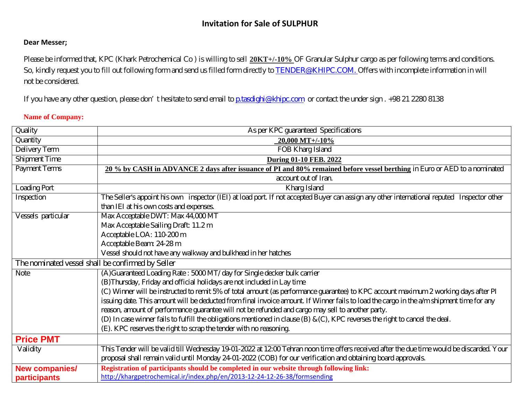# **Invitation for Sale of SULPHUR**

## **Dear Messer;**

Please be informed that, KPC (Khark Petrochemical Co ) is willing to sell **20KT+/-10%** OF Granular Sulphur cargo as per following terms and conditions. So, kindly request you to fill out following form and send us filled form directly to [TENDER@KHIPC.COM.](mailto:TENDER@KHIPC.COM) Offers with incomplete information in will not be considered.

If you have any other question, please don't hesitate to send email to **p**.tasdighi@khipc.com or contact the under sign . +98 21 2280 8138

### **Name of Company:**

| Quality                                           | As per KPC guaranteed Specifications                                                                                                        |  |  |
|---------------------------------------------------|---------------------------------------------------------------------------------------------------------------------------------------------|--|--|
| Quantity                                          | $20,000$ MT+/-10%                                                                                                                           |  |  |
| Delivery Term                                     | FOB Kharg Island                                                                                                                            |  |  |
| <b>Shipment Time</b>                              | <b>During 01-10 FEB. 2022</b>                                                                                                               |  |  |
| <b>Payment Terms</b>                              | 20 % by CASH in ADVANCE 2 days after issuance of PI and 80% remained before vessel berthing in Euro or AED to a nominated                   |  |  |
|                                                   | account out of Iran.                                                                                                                        |  |  |
| Loading Port                                      | Kharg Island                                                                                                                                |  |  |
| Inspection                                        | The Seller's appoint his own inspector (IEI) at load port. If not accepted Buyer can assign any other international reputed Inspector other |  |  |
|                                                   | than IEI at his own costs and expenses.                                                                                                     |  |  |
| Vessels particular                                | Max Acceptable DWT: Max 44,000 MT                                                                                                           |  |  |
|                                                   | Max Acceptable Sailing Draft: 11.2 m<br>Acceptable LOA: 110-200 m                                                                           |  |  |
|                                                   |                                                                                                                                             |  |  |
|                                                   | Acceptable Beam: 24-28 m                                                                                                                    |  |  |
|                                                   | Vessel should not have any walkway and bulkhead in her hatches                                                                              |  |  |
| The nominated vessel shall be confirmed by Seller |                                                                                                                                             |  |  |
| <b>Note</b>                                       | (A)Guaranteed Loading Rate: 5000 MT/ day for Single decker bulk carrier                                                                     |  |  |
|                                                   | (B)Thursday, Friday and official holidays are not included in Lay time                                                                      |  |  |
|                                                   | (C) Winner will be instructed to remit 5% of total amount (as performance guarantee) to KPC account maximum 2 working days after PI         |  |  |
|                                                   | issuing date. This amount will be deducted from final invoice amount. If Winner fails to load the cargo in the a/m shipment time for any    |  |  |
|                                                   | reason, amount of performance guarantee will not be refunded and cargo may sell to another party.                                           |  |  |
|                                                   | (D) In case winner fails to fulfill the obligations mentioned in clause (B) $\&$ (C), KPC reverses the right to cancel the deal.            |  |  |
|                                                   | (E). KPC reserves the right to scrap the tender with no reasoning.                                                                          |  |  |
| <b>Price PMT</b>                                  |                                                                                                                                             |  |  |
| Validity                                          | This Tender will be valid till Wednesday 19-01-2022 at 12:00 Tehran noon time offers received after the due time would be discarded. Your   |  |  |
|                                                   | proposal shall remain valid until Monday 24-01-2022 (COB) for our verification and obtaining board approvals.                               |  |  |
| <b>New companies/</b>                             | Registration of participants should be completed in our website through following link:                                                     |  |  |
| participants                                      | http://khargpetrochemical.ir/index.php/en/2013-12-24-12-26-38/formsending                                                                   |  |  |